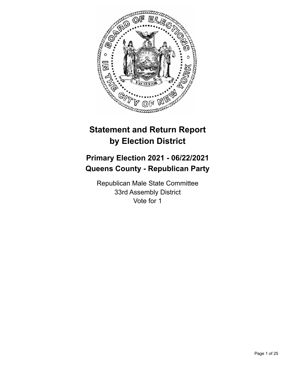

# **Statement and Return Report by Election District**

# **Primary Election 2021 - 06/22/2021 Queens County - Republican Party**

Republican Male State Committee 33rd Assembly District Vote for 1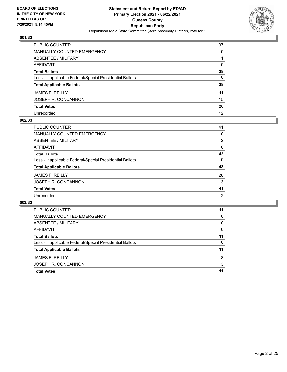

| PUBLIC COUNTER                                           | 37           |
|----------------------------------------------------------|--------------|
| <b>MANUALLY COUNTED EMERGENCY</b>                        | $\Omega$     |
| ABSENTEE / MILITARY                                      |              |
| <b>AFFIDAVIT</b>                                         | $\Omega$     |
| <b>Total Ballots</b>                                     | 38           |
| Less - Inapplicable Federal/Special Presidential Ballots | $\mathbf{0}$ |
| <b>Total Applicable Ballots</b>                          | 38           |
| JAMES F. REILLY                                          | 11           |
| JOSEPH R. CONCANNON                                      | 15           |
| <b>Total Votes</b>                                       | 26           |
| Unrecorded                                               | 12           |

#### **002/33**

| PUBLIC COUNTER                                           | 41             |
|----------------------------------------------------------|----------------|
| MANUALLY COUNTED EMERGENCY                               | $\Omega$       |
| ABSENTEE / MILITARY                                      | 2              |
| AFFIDAVIT                                                | $\Omega$       |
| <b>Total Ballots</b>                                     | 43             |
| Less - Inapplicable Federal/Special Presidential Ballots | $\Omega$       |
| <b>Total Applicable Ballots</b>                          | 43             |
| <b>JAMES F. REILLY</b>                                   | 28             |
| JOSEPH R. CONCANNON                                      | 13             |
| <b>Total Votes</b>                                       | 41             |
| Unrecorded                                               | $\overline{2}$ |

| <b>PUBLIC COUNTER</b>                                    | 11 |
|----------------------------------------------------------|----|
| MANUALLY COUNTED EMERGENCY                               | 0  |
| ABSENTEE / MILITARY                                      | 0  |
| AFFIDAVIT                                                | 0  |
| <b>Total Ballots</b>                                     | 11 |
| Less - Inapplicable Federal/Special Presidential Ballots | 0  |
| <b>Total Applicable Ballots</b>                          | 11 |
| <b>JAMES F. REILLY</b>                                   | 8  |
| JOSEPH R. CONCANNON                                      | 3  |
| <b>Total Votes</b>                                       | 11 |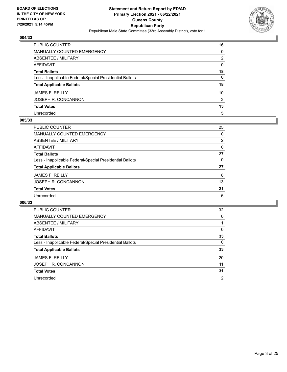

| PUBLIC COUNTER                                           | 16           |
|----------------------------------------------------------|--------------|
| MANUALLY COUNTED EMERGENCY                               | 0            |
| ABSENTEE / MILITARY                                      | 2            |
| AFFIDAVIT                                                | $\mathbf{0}$ |
| Total Ballots                                            | 18           |
| Less - Inapplicable Federal/Special Presidential Ballots | 0            |
| <b>Total Applicable Ballots</b>                          | 18           |
| JAMES F. REILLY                                          | 10           |
| JOSEPH R. CONCANNON                                      | 3            |
| <b>Total Votes</b>                                       | 13           |
| Unrecorded                                               | 5            |

## **005/33**

| PUBLIC COUNTER                                           | 25             |
|----------------------------------------------------------|----------------|
| <b>MANUALLY COUNTED EMERGENCY</b>                        | $\Omega$       |
| ABSENTEE / MILITARY                                      | $\overline{2}$ |
| AFFIDAVIT                                                | $\Omega$       |
| <b>Total Ballots</b>                                     | 27             |
| Less - Inapplicable Federal/Special Presidential Ballots | 0              |
| <b>Total Applicable Ballots</b>                          | 27             |
| <b>JAMES F. REILLY</b>                                   | 8              |
| JOSEPH R. CONCANNON                                      | 13             |
| <b>Total Votes</b>                                       | 21             |
| Unrecorded                                               | 6              |

| <b>PUBLIC COUNTER</b>                                    | 32       |
|----------------------------------------------------------|----------|
| <b>MANUALLY COUNTED EMERGENCY</b>                        | $\Omega$ |
| <b>ABSENTEE / MILITARY</b>                               |          |
| AFFIDAVIT                                                | $\Omega$ |
| <b>Total Ballots</b>                                     | 33       |
| Less - Inapplicable Federal/Special Presidential Ballots | 0        |
| <b>Total Applicable Ballots</b>                          | 33       |
| <b>JAMES F. REILLY</b>                                   | 20       |
| JOSEPH R. CONCANNON                                      | 11       |
| <b>Total Votes</b>                                       | 31       |
| Unrecorded                                               | 2        |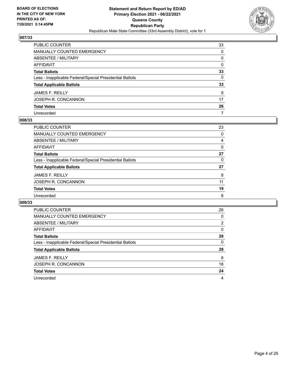

| PUBLIC COUNTER                                           | 33           |
|----------------------------------------------------------|--------------|
| MANUALLY COUNTED EMERGENCY                               | $\Omega$     |
| ABSENTEE / MILITARY                                      | $\mathbf{0}$ |
| <b>AFFIDAVIT</b>                                         | $\mathbf{0}$ |
| <b>Total Ballots</b>                                     | 33           |
| Less - Inapplicable Federal/Special Presidential Ballots | 0            |
| <b>Total Applicable Ballots</b>                          | 33           |
| JAMES F. REILLY                                          | 9            |
| JOSEPH R. CONCANNON                                      | 17           |
| <b>Total Votes</b>                                       | 26           |
| Unrecorded                                               | 7            |

#### **008/33**

| PUBLIC COUNTER                                           | 23 |
|----------------------------------------------------------|----|
| <b>MANUALLY COUNTED EMERGENCY</b>                        | 0  |
| ABSENTEE / MILITARY                                      | 4  |
| AFFIDAVIT                                                | 0  |
| <b>Total Ballots</b>                                     | 27 |
| Less - Inapplicable Federal/Special Presidential Ballots | 0  |
| <b>Total Applicable Ballots</b>                          | 27 |
| <b>JAMES F. REILLY</b>                                   | 8  |
| JOSEPH R. CONCANNON                                      | 11 |
| <b>Total Votes</b>                                       | 19 |
| Unrecorded                                               | 8  |
|                                                          |    |

| <b>PUBLIC COUNTER</b>                                    | 26             |
|----------------------------------------------------------|----------------|
| <b>MANUALLY COUNTED EMERGENCY</b>                        | 0              |
| ABSENTEE / MILITARY                                      | $\overline{2}$ |
| AFFIDAVIT                                                | $\Omega$       |
| <b>Total Ballots</b>                                     | 28             |
| Less - Inapplicable Federal/Special Presidential Ballots | $\Omega$       |
| <b>Total Applicable Ballots</b>                          | 28             |
| <b>JAMES F. REILLY</b>                                   | 6              |
| JOSEPH R. CONCANNON                                      | 18             |
| <b>Total Votes</b>                                       | 24             |
| Unrecorded                                               | 4              |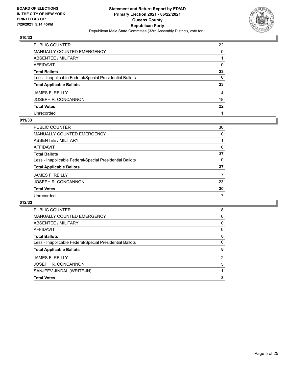

| PUBLIC COUNTER                                           | 22             |
|----------------------------------------------------------|----------------|
| MANUALLY COUNTED EMERGENCY                               | 0              |
| ABSENTEE / MILITARY                                      |                |
| AFFIDAVIT                                                | $\mathbf{0}$   |
| Total Ballots                                            | 23             |
| Less - Inapplicable Federal/Special Presidential Ballots | $\mathbf{0}$   |
| <b>Total Applicable Ballots</b>                          | 23             |
| JAMES F. REILLY                                          | $\overline{4}$ |
| JOSEPH R. CONCANNON                                      | 18             |
| <b>Total Votes</b>                                       | $22 \,$        |
| Unrecorded                                               |                |

## **011/33**

| PUBLIC COUNTER                                           | 36       |
|----------------------------------------------------------|----------|
| MANUALLY COUNTED EMERGENCY                               | $\Omega$ |
| ABSENTEE / MILITARY                                      |          |
| AFFIDAVIT                                                | $\Omega$ |
| <b>Total Ballots</b>                                     | 37       |
| Less - Inapplicable Federal/Special Presidential Ballots | 0        |
| <b>Total Applicable Ballots</b>                          | 37       |
| <b>JAMES F. REILLY</b>                                   |          |
| JOSEPH R. CONCANNON                                      | 23       |
| <b>Total Votes</b>                                       | 30       |
| Unrecorded                                               | 7        |

| MANUALLY COUNTED EMERGENCY<br>0<br>ABSENTEE / MILITARY<br>0<br><b>AFFIDAVIT</b><br>0<br>8<br><b>Total Ballots</b><br>0<br>Less - Inapplicable Federal/Special Presidential Ballots<br>8<br><b>Total Applicable Ballots</b><br><b>JAMES F. REILLY</b><br>2<br>JOSEPH R. CONCANNON<br>5<br>SANJEEV JINDAL (WRITE-IN)<br>8<br><b>Total Votes</b> | <b>PUBLIC COUNTER</b> | 8 |
|-----------------------------------------------------------------------------------------------------------------------------------------------------------------------------------------------------------------------------------------------------------------------------------------------------------------------------------------------|-----------------------|---|
|                                                                                                                                                                                                                                                                                                                                               |                       |   |
|                                                                                                                                                                                                                                                                                                                                               |                       |   |
|                                                                                                                                                                                                                                                                                                                                               |                       |   |
|                                                                                                                                                                                                                                                                                                                                               |                       |   |
|                                                                                                                                                                                                                                                                                                                                               |                       |   |
|                                                                                                                                                                                                                                                                                                                                               |                       |   |
|                                                                                                                                                                                                                                                                                                                                               |                       |   |
|                                                                                                                                                                                                                                                                                                                                               |                       |   |
|                                                                                                                                                                                                                                                                                                                                               |                       |   |
|                                                                                                                                                                                                                                                                                                                                               |                       |   |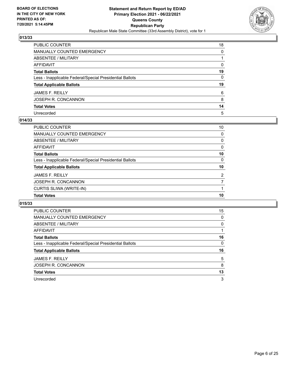

| PUBLIC COUNTER                                           | 18           |
|----------------------------------------------------------|--------------|
| MANUALLY COUNTED EMERGENCY                               | 0            |
| ABSENTEE / MILITARY                                      |              |
| AFFIDAVIT                                                | $\mathbf{0}$ |
| Total Ballots                                            | 19           |
| Less - Inapplicable Federal/Special Presidential Ballots | $\mathbf{0}$ |
| <b>Total Applicable Ballots</b>                          | 19           |
| JAMES F. REILLY                                          | 6            |
| JOSEPH R. CONCANNON                                      | 8            |
| <b>Total Votes</b>                                       | 14           |
| Unrecorded                                               | 5            |

## **014/33**

| <b>Total Votes</b>                                       | 10       |
|----------------------------------------------------------|----------|
| CURTIS SLIWA (WRITE-IN)                                  |          |
| JOSEPH R. CONCANNON                                      | 7        |
| <b>JAMES F. REILLY</b>                                   | 2        |
| <b>Total Applicable Ballots</b>                          | 10       |
| Less - Inapplicable Federal/Special Presidential Ballots | $\Omega$ |
| <b>Total Ballots</b>                                     | 10       |
| AFFIDAVIT                                                | $\Omega$ |
| ABSENTEE / MILITARY                                      | 0        |
| <b>MANUALLY COUNTED EMERGENCY</b>                        | $\Omega$ |
| PUBLIC COUNTER                                           | 10       |

| <b>PUBLIC COUNTER</b>                                    | 15       |
|----------------------------------------------------------|----------|
| MANUALLY COUNTED EMERGENCY                               | $\Omega$ |
| ABSENTEE / MILITARY                                      | 0        |
| AFFIDAVIT                                                |          |
| <b>Total Ballots</b>                                     | 16       |
| Less - Inapplicable Federal/Special Presidential Ballots | $\Omega$ |
| <b>Total Applicable Ballots</b>                          | 16       |
| <b>JAMES F. REILLY</b>                                   | 5        |
| JOSEPH R. CONCANNON                                      | 8        |
| <b>Total Votes</b>                                       | 13       |
| Unrecorded                                               | 3        |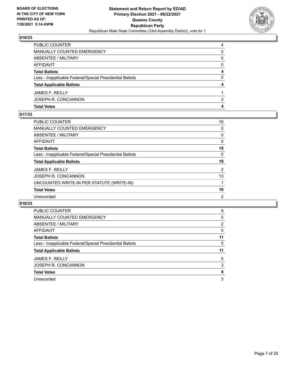

| <b>PUBLIC COUNTER</b>                                    | 4 |
|----------------------------------------------------------|---|
| <b>MANUALLY COUNTED EMERGENCY</b>                        | 0 |
| ABSENTEE / MILITARY                                      | 0 |
| AFFIDAVIT                                                | 0 |
| <b>Total Ballots</b>                                     | 4 |
| Less - Inapplicable Federal/Special Presidential Ballots | 0 |
| <b>Total Applicable Ballots</b>                          | 4 |
| <b>JAMES F. REILLY</b>                                   |   |
| JOSEPH R. CONCANNON                                      | 3 |
| <b>Total Votes</b>                                       | 4 |

## **017/33**

| PUBLIC COUNTER                                           | 18             |
|----------------------------------------------------------|----------------|
| <b>MANUALLY COUNTED EMERGENCY</b>                        | 0              |
| <b>ABSENTEE / MILITARY</b>                               | 0              |
| <b>AFFIDAVIT</b>                                         | 0              |
| <b>Total Ballots</b>                                     | 18             |
| Less - Inapplicable Federal/Special Presidential Ballots | 0              |
| <b>Total Applicable Ballots</b>                          | 18             |
| <b>JAMES F. REILLY</b>                                   | 2              |
| JOSEPH R. CONCANNON                                      | 13             |
| UNCOUNTED WRITE-IN PER STATUTE (WRITE-IN)                | 1              |
| <b>Total Votes</b>                                       | 16             |
| Unrecorded                                               | $\overline{2}$ |

| PUBLIC COUNTER                                           | 9              |
|----------------------------------------------------------|----------------|
| <b>MANUALLY COUNTED EMERGENCY</b>                        | 0              |
| ABSENTEE / MILITARY                                      | $\overline{2}$ |
| <b>AFFIDAVIT</b>                                         | 0              |
| <b>Total Ballots</b>                                     | 11             |
| Less - Inapplicable Federal/Special Presidential Ballots | 0              |
|                                                          |                |
| <b>Total Applicable Ballots</b>                          | 11             |
| <b>JAMES F. REILLY</b>                                   | 5              |
| JOSEPH R. CONCANNON                                      | 3              |
| <b>Total Votes</b>                                       | 8              |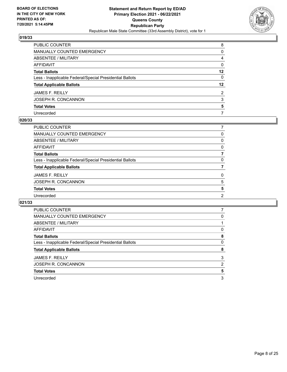

| PUBLIC COUNTER                                           | 8            |
|----------------------------------------------------------|--------------|
| MANUALLY COUNTED EMERGENCY                               | 0            |
| <b>ABSENTEE / MILITARY</b>                               | 4            |
| AFFIDAVIT                                                | $\mathbf{0}$ |
| Total Ballots                                            | $12 \,$      |
| Less - Inapplicable Federal/Special Presidential Ballots | $\mathbf{0}$ |
| <b>Total Applicable Ballots</b>                          | $12 \,$      |
| JAMES F. REILLY                                          | 2            |
| JOSEPH R. CONCANNON                                      | 3            |
| <b>Total Votes</b>                                       | 5            |
| Unrecorded                                               | 7            |

#### **020/33**

| PUBLIC COUNTER<br><b>MANUALLY COUNTED EMERGENCY</b><br>ABSENTEE / MILITARY<br><b>AFFIDAVIT</b><br><b>Total Ballots</b><br>Less - Inapplicable Federal/Special Presidential Ballots<br><b>Total Applicable Ballots</b><br><b>JAMES F. REILLY</b><br>JOSEPH R. CONCANNON<br><b>Total Votes</b><br>Unrecorded |          |
|------------------------------------------------------------------------------------------------------------------------------------------------------------------------------------------------------------------------------------------------------------------------------------------------------------|----------|
|                                                                                                                                                                                                                                                                                                            |          |
|                                                                                                                                                                                                                                                                                                            | 0        |
|                                                                                                                                                                                                                                                                                                            | 0        |
|                                                                                                                                                                                                                                                                                                            | $\Omega$ |
|                                                                                                                                                                                                                                                                                                            | 7        |
|                                                                                                                                                                                                                                                                                                            | $\Omega$ |
|                                                                                                                                                                                                                                                                                                            |          |
|                                                                                                                                                                                                                                                                                                            | $\Omega$ |
|                                                                                                                                                                                                                                                                                                            | 5        |
|                                                                                                                                                                                                                                                                                                            | 5        |
|                                                                                                                                                                                                                                                                                                            | 2        |

| <b>PUBLIC COUNTER</b>                                    |   |
|----------------------------------------------------------|---|
| <b>MANUALLY COUNTED EMERGENCY</b>                        | 0 |
| ABSENTEE / MILITARY                                      |   |
| AFFIDAVIT                                                | 0 |
| <b>Total Ballots</b>                                     | 8 |
| Less - Inapplicable Federal/Special Presidential Ballots | 0 |
| <b>Total Applicable Ballots</b>                          | 8 |
| <b>JAMES F. REILLY</b>                                   | 3 |
|                                                          |   |
| JOSEPH R. CONCANNON                                      | 2 |
| <b>Total Votes</b>                                       | 5 |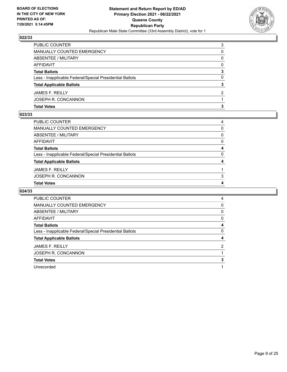

| <b>Total Votes</b>                                       | з             |
|----------------------------------------------------------|---------------|
| JOSEPH R. CONCANNON                                      |               |
| <b>JAMES F. REILLY</b>                                   | $\mathcal{P}$ |
| <b>Total Applicable Ballots</b>                          | 3             |
| Less - Inapplicable Federal/Special Presidential Ballots | 0             |
| <b>Total Ballots</b>                                     | 3             |
| AFFIDAVIT                                                | 0             |
| <b>ABSENTEE / MILITARY</b>                               | 0             |
| MANUALLY COUNTED EMERGENCY                               | 0             |
| PUBLIC COUNTER                                           | 3             |

## **023/33**

| PUBLIC COUNTER                                           | 4            |
|----------------------------------------------------------|--------------|
| MANUALLY COUNTED EMERGENCY                               | $\Omega$     |
| ABSENTEE / MILITARY                                      | 0            |
| AFFIDAVIT                                                | $\mathbf{0}$ |
| Total Ballots                                            | 4            |
| Less - Inapplicable Federal/Special Presidential Ballots | $\mathbf{0}$ |
| <b>Total Applicable Ballots</b>                          | 4            |
| JAMES F. REILLY                                          |              |
| JOSEPH R. CONCANNON                                      | 3            |
| <b>Total Votes</b>                                       | 4            |

| <b>PUBLIC COUNTER</b>                                    | 4              |
|----------------------------------------------------------|----------------|
| <b>MANUALLY COUNTED EMERGENCY</b>                        | 0              |
| ABSENTEE / MILITARY                                      | 0              |
| <b>AFFIDAVIT</b>                                         | 0              |
| <b>Total Ballots</b>                                     | 4              |
| Less - Inapplicable Federal/Special Presidential Ballots | $\Omega$       |
| <b>Total Applicable Ballots</b>                          | 4              |
| <b>JAMES F. REILLY</b>                                   | $\overline{2}$ |
| JOSEPH R. CONCANNON                                      |                |
| <b>Total Votes</b>                                       | 3              |
| Unrecorded                                               |                |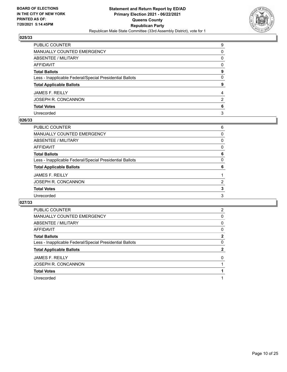

| PUBLIC COUNTER                                           | 9            |
|----------------------------------------------------------|--------------|
| MANUALLY COUNTED EMERGENCY                               | $\Omega$     |
| ABSENTEE / MILITARY                                      | 0            |
| AFFIDAVIT                                                | $\mathbf{0}$ |
| Total Ballots                                            | 9            |
| Less - Inapplicable Federal/Special Presidential Ballots | $\mathbf{0}$ |
| <b>Total Applicable Ballots</b>                          | 9            |
| JAMES F. REILLY                                          | 4            |
| JOSEPH R. CONCANNON                                      | 2            |
| <b>Total Votes</b>                                       | 6            |
| Unrecorded                                               | 3            |

#### **026/33**

| PUBLIC COUNTER                                           | 6             |
|----------------------------------------------------------|---------------|
| MANUALLY COUNTED EMERGENCY                               | $\Omega$      |
| <b>ABSENTEE / MILITARY</b>                               | 0             |
| AFFIDAVIT                                                | $\Omega$      |
| <b>Total Ballots</b>                                     | 6             |
| Less - Inapplicable Federal/Special Presidential Ballots | 0             |
| <b>Total Applicable Ballots</b>                          | 6             |
| <b>JAMES F. REILLY</b>                                   |               |
| JOSEPH R. CONCANNON                                      | $\mathcal{P}$ |
| <b>Total Votes</b>                                       | 3             |
| Unrecorded                                               | 3             |
|                                                          |               |

| <b>PUBLIC COUNTER</b>                                    | 2 |
|----------------------------------------------------------|---|
| <b>MANUALLY COUNTED EMERGENCY</b>                        | 0 |
| ABSENTEE / MILITARY                                      | 0 |
| AFFIDAVIT                                                | 0 |
| <b>Total Ballots</b>                                     | 2 |
| Less - Inapplicable Federal/Special Presidential Ballots | 0 |
| <b>Total Applicable Ballots</b>                          | 2 |
| <b>JAMES F. REILLY</b>                                   | 0 |
| JOSEPH R. CONCANNON                                      |   |
| <b>Total Votes</b>                                       |   |
|                                                          |   |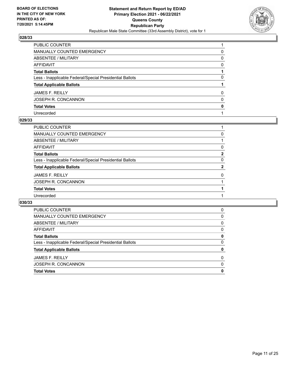

| PUBLIC COUNTER                                           |              |
|----------------------------------------------------------|--------------|
| MANUALLY COUNTED EMERGENCY                               | 0            |
| ABSENTEE / MILITARY                                      | $\Omega$     |
| AFFIDAVIT                                                | $\Omega$     |
| Total Ballots                                            |              |
| Less - Inapplicable Federal/Special Presidential Ballots | 0            |
| <b>Total Applicable Ballots</b>                          |              |
| JAMES F. REILLY                                          | $\Omega$     |
| JOSEPH R. CONCANNON                                      | $\mathbf{0}$ |
| <b>Total Votes</b>                                       | 0            |
| Unrecorded                                               |              |

#### **029/33**

| PUBLIC COUNTER                                           |          |
|----------------------------------------------------------|----------|
| <b>MANUALLY COUNTED EMERGENCY</b>                        | 0        |
| ABSENTEE / MILITARY                                      |          |
| <b>AFFIDAVIT</b>                                         | 0        |
| <b>Total Ballots</b>                                     | 2        |
| Less - Inapplicable Federal/Special Presidential Ballots | $\Omega$ |
| <b>Total Applicable Ballots</b>                          | 2        |
| <b>JAMES F. REILLY</b>                                   | $\Omega$ |
| JOSEPH R. CONCANNON                                      |          |
| <b>Total Votes</b>                                       |          |
| Unrecorded                                               |          |
|                                                          |          |

| <b>Total Votes</b>                                       | 0        |
|----------------------------------------------------------|----------|
| JOSEPH R. CONCANNON                                      | $\Omega$ |
| JAMES F. REILLY                                          | 0        |
| <b>Total Applicable Ballots</b>                          | 0        |
| Less - Inapplicable Federal/Special Presidential Ballots | $\Omega$ |
| <b>Total Ballots</b>                                     | 0        |
| AFFIDAVIT                                                | 0        |
| ABSENTEE / MILITARY                                      | 0        |
| MANUALLY COUNTED EMERGENCY                               | 0        |
| <b>PUBLIC COUNTER</b>                                    | 0        |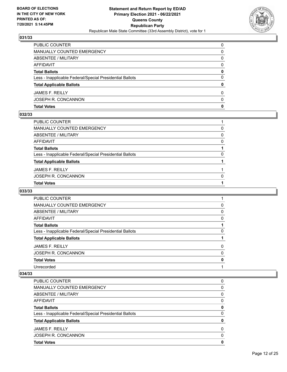

| <b>Total Votes</b>                                       | 0            |
|----------------------------------------------------------|--------------|
| JOSEPH R. CONCANNON                                      | <sup>0</sup> |
| <b>JAMES F. REILLY</b>                                   | 0            |
| <b>Total Applicable Ballots</b>                          | 0            |
| Less - Inapplicable Federal/Special Presidential Ballots | 0            |
| <b>Total Ballots</b>                                     | 0            |
| AFFIDAVIT                                                | $\Omega$     |
| ABSENTEE / MILITARY                                      | 0            |
| MANUALLY COUNTED EMERGENCY                               | 0            |
| PUBLIC COUNTER                                           | $\Omega$     |

## **032/33**

| PUBLIC COUNTER                                           |              |
|----------------------------------------------------------|--------------|
| MANUALLY COUNTED EMERGENCY                               | 0            |
| ABSENTEE / MILITARY                                      | $\mathbf{0}$ |
| AFFIDAVIT                                                | $\Omega$     |
| <b>Total Ballots</b>                                     |              |
| Less - Inapplicable Federal/Special Presidential Ballots | $\Omega$     |
| <b>Total Applicable Ballots</b>                          |              |
| JAMES F. REILLY                                          |              |
| JOSEPH R. CONCANNON                                      | $\Omega$     |
| <b>Total Votes</b>                                       |              |

## **033/33**

| <b>PUBLIC COUNTER</b>                                    |          |
|----------------------------------------------------------|----------|
| <b>MANUALLY COUNTED EMERGENCY</b>                        | 0        |
| ABSENTEE / MILITARY                                      | 0        |
| AFFIDAVIT                                                | 0        |
| <b>Total Ballots</b>                                     |          |
| Less - Inapplicable Federal/Special Presidential Ballots | 0        |
| <b>Total Applicable Ballots</b>                          |          |
| <b>JAMES F. REILLY</b>                                   | 0        |
| JOSEPH R. CONCANNON                                      | $\Omega$ |
| <b>Total Votes</b>                                       | 0        |
| Unrecorded                                               |          |
|                                                          |          |

| <b>Total Votes</b>                                       | 0 |
|----------------------------------------------------------|---|
| JOSEPH R. CONCANNON                                      | 0 |
| <b>JAMES F. REILLY</b>                                   | 0 |
| <b>Total Applicable Ballots</b>                          | 0 |
| Less - Inapplicable Federal/Special Presidential Ballots | 0 |
| <b>Total Ballots</b>                                     | 0 |
| AFFIDAVIT                                                | 0 |
| ABSENTEE / MILITARY                                      | 0 |
| <b>MANUALLY COUNTED EMERGENCY</b>                        | 0 |
| PUBLIC COUNTER                                           | 0 |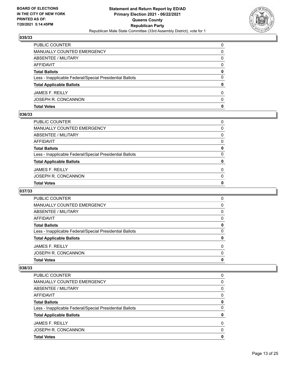

| <b>Total Votes</b>                                       | 0            |
|----------------------------------------------------------|--------------|
| JOSEPH R. CONCANNON                                      | <sup>0</sup> |
| <b>JAMES F. REILLY</b>                                   | 0            |
| <b>Total Applicable Ballots</b>                          | 0            |
| Less - Inapplicable Federal/Special Presidential Ballots | 0            |
| <b>Total Ballots</b>                                     | 0            |
| AFFIDAVIT                                                | $\Omega$     |
| ABSENTEE / MILITARY                                      | 0            |
| MANUALLY COUNTED EMERGENCY                               | 0            |
| PUBLIC COUNTER                                           | $\Omega$     |

## **036/33**

| PUBLIC COUNTER                                           | $\Omega$     |
|----------------------------------------------------------|--------------|
| MANUALLY COUNTED EMERGENCY                               | 0            |
| ABSENTEE / MILITARY                                      | $\mathbf{0}$ |
| AFFIDAVIT                                                | $\Omega$     |
| <b>Total Ballots</b>                                     | 0            |
| Less - Inapplicable Federal/Special Presidential Ballots | $\Omega$     |
| <b>Total Applicable Ballots</b>                          | 0            |
| JAMES F. REILLY                                          | $\Omega$     |
| JOSEPH R. CONCANNON                                      | $\Omega$     |
| <b>Total Votes</b>                                       | 0            |
|                                                          |              |

## **037/33**

| <b>Total Votes</b>                                       | 0        |
|----------------------------------------------------------|----------|
| JOSEPH R. CONCANNON                                      | $\Omega$ |
| <b>JAMES F. REILLY</b>                                   | $\Omega$ |
| <b>Total Applicable Ballots</b>                          | 0        |
| Less - Inapplicable Federal/Special Presidential Ballots | 0        |
| <b>Total Ballots</b>                                     | 0        |
| AFFIDAVIT                                                | 0        |
| ABSENTEE / MILITARY                                      | 0        |
| <b>MANUALLY COUNTED EMERGENCY</b>                        | 0        |
| <b>PUBLIC COUNTER</b>                                    | 0        |

| <b>Total Votes</b>                                       | 0 |
|----------------------------------------------------------|---|
| JOSEPH R. CONCANNON                                      | 0 |
| <b>JAMES F. REILLY</b>                                   | 0 |
| <b>Total Applicable Ballots</b>                          | 0 |
| Less - Inapplicable Federal/Special Presidential Ballots | 0 |
| <b>Total Ballots</b>                                     | 0 |
| AFFIDAVIT                                                | 0 |
| ABSENTEE / MILITARY                                      | 0 |
| MANUALLY COUNTED EMERGENCY                               | 0 |
| PUBLIC COUNTER                                           | 0 |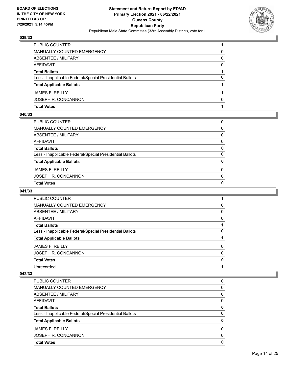

| <b>Total Votes</b>                                       |   |
|----------------------------------------------------------|---|
| JOSEPH R. CONCANNON                                      | n |
| <b>JAMES F. REILLY</b>                                   |   |
| <b>Total Applicable Ballots</b>                          |   |
| Less - Inapplicable Federal/Special Presidential Ballots | 0 |
| <b>Total Ballots</b>                                     |   |
| AFFIDAVIT                                                | 0 |
| <b>ABSENTEE / MILITARY</b>                               | 0 |
| MANUALLY COUNTED EMERGENCY                               | 0 |
| PUBLIC COUNTER                                           |   |

#### **040/33**

| PUBLIC COUNTER                                           | 0            |
|----------------------------------------------------------|--------------|
| MANUALLY COUNTED EMERGENCY                               | 0            |
| ABSENTEE / MILITARY                                      | $\Omega$     |
| AFFIDAVIT                                                | 0            |
| Total Ballots                                            | 0            |
| Less - Inapplicable Federal/Special Presidential Ballots | $\mathbf{0}$ |
| <b>Total Applicable Ballots</b>                          | 0            |
| JAMES F. REILLY                                          | $\Omega$     |
| JOSEPH R. CONCANNON                                      | $\Omega$     |
| <b>Total Votes</b>                                       | 0            |
|                                                          |              |

## **041/33**

| <b>PUBLIC COUNTER</b>                                    |          |
|----------------------------------------------------------|----------|
| <b>MANUALLY COUNTED EMERGENCY</b>                        | 0        |
| ABSENTEE / MILITARY                                      | 0        |
| AFFIDAVIT                                                | 0        |
| <b>Total Ballots</b>                                     |          |
| Less - Inapplicable Federal/Special Presidential Ballots | 0        |
| <b>Total Applicable Ballots</b>                          |          |
| <b>JAMES F. REILLY</b>                                   | 0        |
| JOSEPH R. CONCANNON                                      | $\Omega$ |
| <b>Total Votes</b>                                       | 0        |
| Unrecorded                                               |          |
|                                                          |          |

| PUBLIC COUNTER                                           | 0 |
|----------------------------------------------------------|---|
| <b>MANUALLY COUNTED EMERGENCY</b>                        | 0 |
| ABSENTEE / MILITARY                                      | 0 |
| AFFIDAVIT                                                | 0 |
| <b>Total Ballots</b>                                     | 0 |
| Less - Inapplicable Federal/Special Presidential Ballots | 0 |
| <b>Total Applicable Ballots</b>                          | 0 |
| <b>JAMES F. REILLY</b>                                   | 0 |
| JOSEPH R. CONCANNON                                      | 0 |
| <b>Total Votes</b>                                       | 0 |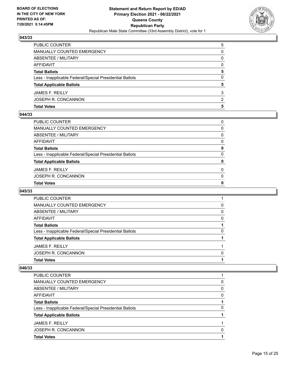

| <b>Total Votes</b>                                       | 5             |
|----------------------------------------------------------|---------------|
| JOSEPH R. CONCANNON                                      | $\mathcal{P}$ |
| <b>JAMES F. REILLY</b>                                   | 3             |
| <b>Total Applicable Ballots</b>                          | 5             |
| Less - Inapplicable Federal/Special Presidential Ballots | 0             |
| <b>Total Ballots</b>                                     | 5             |
| AFFIDAVIT                                                | $\Omega$      |
| <b>ABSENTEE / MILITARY</b>                               | 0             |
| MANUALLY COUNTED EMERGENCY                               | 0             |
| PUBLIC COUNTER                                           | 5             |

## **044/33**

| PUBLIC COUNTER                                           | $\Omega$     |
|----------------------------------------------------------|--------------|
| MANUALLY COUNTED EMERGENCY                               | 0            |
| ABSENTEE / MILITARY                                      | $\mathbf{0}$ |
| AFFIDAVIT                                                | $\Omega$     |
| Total Ballots                                            | 0            |
| Less - Inapplicable Federal/Special Presidential Ballots | $\mathbf{0}$ |
| <b>Total Applicable Ballots</b>                          | 0            |
| JAMES F. REILLY                                          | $\Omega$     |
| JOSEPH R. CONCANNON                                      | $\Omega$     |
| <b>Total Votes</b>                                       | 0            |
|                                                          |              |

## **045/33**

| PUBLIC COUNTER                                           |   |
|----------------------------------------------------------|---|
| MANUALLY COUNTED EMERGENCY                               | 0 |
| ABSENTEE / MILITARY                                      | 0 |
| AFFIDAVIT                                                | 0 |
| <b>Total Ballots</b>                                     |   |
| Less - Inapplicable Federal/Special Presidential Ballots | 0 |
| <b>Total Applicable Ballots</b>                          |   |
| <b>JAMES F. REILLY</b>                                   |   |
| JOSEPH R. CONCANNON                                      | 0 |
| <b>Total Votes</b>                                       |   |
|                                                          |   |

| PUBLIC COUNTER                                           |   |
|----------------------------------------------------------|---|
| MANUALLY COUNTED EMERGENCY                               | 0 |
| ABSENTEE / MILITARY                                      | 0 |
| AFFIDAVIT                                                | 0 |
| <b>Total Ballots</b>                                     |   |
| Less - Inapplicable Federal/Special Presidential Ballots | 0 |
| <b>Total Applicable Ballots</b>                          |   |
| <b>JAMES F. REILLY</b>                                   |   |
| JOSEPH R. CONCANNON                                      | O |
| <b>Total Votes</b>                                       |   |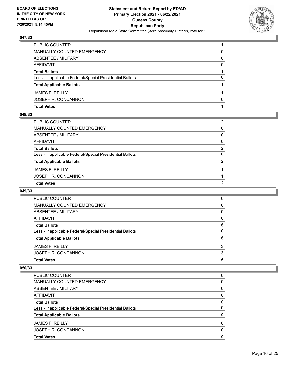

| <b>Total Votes</b>                                       |   |
|----------------------------------------------------------|---|
| JOSEPH R. CONCANNON                                      | 0 |
| <b>JAMES F. REILLY</b>                                   |   |
| <b>Total Applicable Ballots</b>                          |   |
| Less - Inapplicable Federal/Special Presidential Ballots | 0 |
| <b>Total Ballots</b>                                     |   |
| AFFIDAVIT                                                | 0 |
| ABSENTEE / MILITARY                                      | 0 |
| MANUALLY COUNTED EMERGENCY                               | 0 |
| PUBLIC COUNTER                                           |   |

#### **048/33**

| <b>Total Votes</b>                                       | 2              |
|----------------------------------------------------------|----------------|
| JOSEPH R. CONCANNON                                      |                |
| <b>JAMES F. REILLY</b>                                   |                |
| <b>Total Applicable Ballots</b>                          | $\overline{2}$ |
| Less - Inapplicable Federal/Special Presidential Ballots | $\mathbf{0}$   |
| <b>Total Ballots</b>                                     | $\mathbf{2}$   |
| AFFIDAVIT                                                | $\Omega$       |
| ABSENTEE / MILITARY                                      | $\mathbf{0}$   |
| MANUALLY COUNTED EMERGENCY                               | 0              |
| PUBLIC COUNTER                                           | 2              |
|                                                          |                |

## **049/33**

| <b>Total Votes</b>                                       | 6 |
|----------------------------------------------------------|---|
| JOSEPH R. CONCANNON                                      | 3 |
| JAMES F. REILLY                                          | 3 |
| <b>Total Applicable Ballots</b>                          | 6 |
| Less - Inapplicable Federal/Special Presidential Ballots | 0 |
| <b>Total Ballots</b>                                     | 6 |
| AFFIDAVIT                                                | 0 |
| ABSENTEE / MILITARY                                      | 0 |
| MANUALLY COUNTED EMERGENCY                               | 0 |
| PUBLIC COUNTER                                           | 6 |

| PUBLIC COUNTER                                           | 0 |
|----------------------------------------------------------|---|
| MANUALLY COUNTED EMERGENCY                               | 0 |
| ABSENTEE / MILITARY                                      | 0 |
| AFFIDAVIT                                                | 0 |
| <b>Total Ballots</b>                                     | 0 |
| Less - Inapplicable Federal/Special Presidential Ballots | 0 |
| <b>Total Applicable Ballots</b>                          | 0 |
| <b>JAMES F. REILLY</b>                                   | 0 |
| JOSEPH R. CONCANNON                                      | 0 |
| <b>Total Votes</b>                                       | 0 |
|                                                          |   |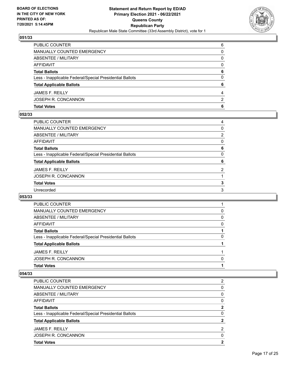

| <b>Total Votes</b>                                       | 6             |
|----------------------------------------------------------|---------------|
| JOSEPH R. CONCANNON                                      | $\mathcal{P}$ |
| <b>JAMES F. REILLY</b>                                   | 4             |
| <b>Total Applicable Ballots</b>                          | 6             |
| Less - Inapplicable Federal/Special Presidential Ballots | 0             |
| <b>Total Ballots</b>                                     | 6             |
| AFFIDAVIT                                                | 0             |
| <b>ABSENTEE / MILITARY</b>                               | 0             |
| MANUALLY COUNTED EMERGENCY                               | 0             |
| PUBLIC COUNTER                                           | 6             |

## **052/33**

| PUBLIC COUNTER                                           | 4              |
|----------------------------------------------------------|----------------|
| <b>MANUALLY COUNTED EMERGENCY</b>                        | 0              |
| <b>ABSENTEE / MILITARY</b>                               | $\overline{2}$ |
| AFFIDAVIT                                                | 0              |
| <b>Total Ballots</b>                                     | 6              |
| Less - Inapplicable Federal/Special Presidential Ballots | $\Omega$       |
| <b>Total Applicable Ballots</b>                          | 6              |
| <b>JAMES F. REILLY</b>                                   | 2              |
| JOSEPH R. CONCANNON                                      |                |
| <b>Total Votes</b>                                       | 3              |
| Unrecorded                                               | 3              |
|                                                          |                |

## **053/33**

| PUBLIC COUNTER                                           |   |
|----------------------------------------------------------|---|
| MANUALLY COUNTED EMERGENCY                               | 0 |
| ABSENTEE / MILITARY                                      | 0 |
| AFFIDAVIT                                                | 0 |
| <b>Total Ballots</b>                                     |   |
| Less - Inapplicable Federal/Special Presidential Ballots | 0 |
| <b>Total Applicable Ballots</b>                          |   |
| <b>JAMES F. REILLY</b>                                   |   |
| JOSEPH R. CONCANNON                                      | 0 |
| <b>Total Votes</b>                                       |   |

| <b>Total Votes</b>                                       | 2 |
|----------------------------------------------------------|---|
| JOSEPH R. CONCANNON                                      | 0 |
| <b>JAMES F. REILLY</b>                                   | 2 |
| <b>Total Applicable Ballots</b>                          |   |
| Less - Inapplicable Federal/Special Presidential Ballots | 0 |
| <b>Total Ballots</b>                                     | 2 |
| AFFIDAVIT                                                | 0 |
| ABSENTEE / MILITARY                                      | 0 |
| <b>MANUALLY COUNTED EMERGENCY</b>                        | 0 |
| PUBLIC COUNTER                                           | 2 |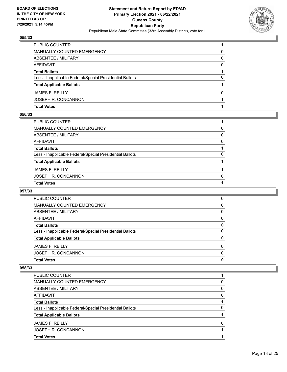

| <b>Total Votes</b>                                       |              |
|----------------------------------------------------------|--------------|
| JOSEPH R. CONCANNON                                      |              |
| <b>JAMES F. REILLY</b>                                   | <sup>0</sup> |
| <b>Total Applicable Ballots</b>                          |              |
| Less - Inapplicable Federal/Special Presidential Ballots | 0            |
| <b>Total Ballots</b>                                     |              |
| AFFIDAVIT                                                | 0            |
| ABSENTEE / MILITARY                                      | 0            |
| MANUALLY COUNTED EMERGENCY                               | 0            |
| PUBLIC COUNTER                                           |              |

## **056/33**

| <b>Total Votes</b>                                       |          |
|----------------------------------------------------------|----------|
| JOSEPH R. CONCANNON                                      | $\Omega$ |
| <b>JAMES F. REILLY</b>                                   |          |
| <b>Total Applicable Ballots</b>                          |          |
| Less - Inapplicable Federal/Special Presidential Ballots | $\Omega$ |
| Total Ballots                                            |          |
| AFFIDAVIT                                                | $\Omega$ |
| ABSENTEE / MILITARY                                      | $\Omega$ |
| MANUALLY COUNTED EMERGENCY                               | 0        |
| PUBLIC COUNTER                                           |          |

## **057/33**

| <b>Total Votes</b>                                       | 0        |
|----------------------------------------------------------|----------|
| JOSEPH R. CONCANNON                                      | $\Omega$ |
| <b>JAMES F. REILLY</b>                                   | $\Omega$ |
| <b>Total Applicable Ballots</b>                          | 0        |
| Less - Inapplicable Federal/Special Presidential Ballots | 0        |
| <b>Total Ballots</b>                                     | 0        |
| AFFIDAVIT                                                | 0        |
| ABSENTEE / MILITARY                                      | 0        |
| MANUALLY COUNTED EMERGENCY                               | 0        |
| PUBLIC COUNTER                                           | 0        |

| PUBLIC COUNTER                                           |   |
|----------------------------------------------------------|---|
| MANUALLY COUNTED EMERGENCY                               | 0 |
| ABSENTEE / MILITARY                                      | 0 |
| AFFIDAVIT                                                | 0 |
| <b>Total Ballots</b>                                     |   |
| Less - Inapplicable Federal/Special Presidential Ballots | 0 |
| <b>Total Applicable Ballots</b>                          |   |
| <b>JAMES F. REILLY</b>                                   | O |
| JOSEPH R. CONCANNON                                      |   |
| <b>Total Votes</b>                                       |   |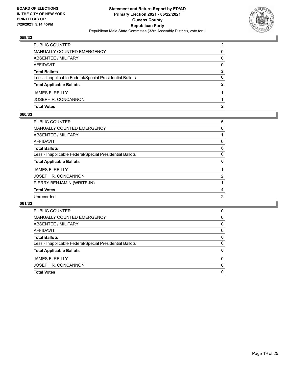

| <b>Total Votes</b>                                       |               |
|----------------------------------------------------------|---------------|
| JOSEPH R. CONCANNON                                      |               |
| <b>JAMES F. REILLY</b>                                   |               |
| <b>Total Applicable Ballots</b>                          | 2             |
| Less - Inapplicable Federal/Special Presidential Ballots | 0             |
| <b>Total Ballots</b>                                     | 2             |
| AFFIDAVIT                                                | 0             |
| ABSENTEE / MILITARY                                      | 0             |
| MANUALLY COUNTED EMERGENCY                               | 0             |
| <b>PUBLIC COUNTER</b>                                    | $\mathcal{P}$ |

## **060/33**

| PUBLIC COUNTER                                           | 5                     |
|----------------------------------------------------------|-----------------------|
| <b>MANUALLY COUNTED EMERGENCY</b>                        | 0                     |
| <b>ABSENTEE / MILITARY</b>                               |                       |
| <b>AFFIDAVIT</b>                                         | 0                     |
| <b>Total Ballots</b>                                     | 6                     |
| Less - Inapplicable Federal/Special Presidential Ballots | 0                     |
| <b>Total Applicable Ballots</b>                          | 6                     |
| <b>JAMES F. REILLY</b>                                   |                       |
| JOSEPH R. CONCANNON                                      | $\mathbf{2}^{\prime}$ |
| PIERRY BENJAMIN (WRITE-IN)                               |                       |
| <b>Total Votes</b>                                       | 4                     |
| Unrecorded                                               | 2                     |
|                                                          |                       |

| <b>Total Votes</b>                                       | 0 |
|----------------------------------------------------------|---|
| JOSEPH R. CONCANNON                                      | 0 |
| <b>JAMES F. REILLY</b>                                   | 0 |
| <b>Total Applicable Ballots</b>                          | 0 |
| Less - Inapplicable Federal/Special Presidential Ballots | 0 |
| <b>Total Ballots</b>                                     | 0 |
| AFFIDAVIT                                                | 0 |
| ABSENTEE / MILITARY                                      | 0 |
| MANUALLY COUNTED EMERGENCY                               | 0 |
| <b>PUBLIC COUNTER</b>                                    | 0 |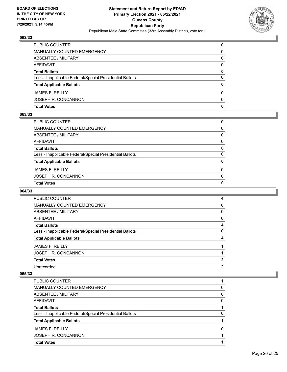

| <b>Total Votes</b>                                       | 0        |
|----------------------------------------------------------|----------|
| JOSEPH R. CONCANNON                                      | 0        |
| <b>JAMES F. REILLY</b>                                   | 0        |
| <b>Total Applicable Ballots</b>                          | 0        |
| Less - Inapplicable Federal/Special Presidential Ballots | 0        |
| <b>Total Ballots</b>                                     | 0        |
| AFFIDAVIT                                                | $\Omega$ |
| ABSENTEE / MILITARY                                      | 0        |
| MANUALLY COUNTED EMERGENCY                               | 0        |
| PUBLIC COUNTER                                           | $\Omega$ |

## **063/33**

| PUBLIC COUNTER                                           | $\Omega$     |
|----------------------------------------------------------|--------------|
| MANUALLY COUNTED EMERGENCY                               | 0            |
| ABSENTEE / MILITARY                                      | 0            |
| AFFIDAVIT                                                | $\mathbf{0}$ |
| Total Ballots                                            | 0            |
| Less - Inapplicable Federal/Special Presidential Ballots | $\mathbf{0}$ |
| <b>Total Applicable Ballots</b>                          | 0            |
| <b>JAMES F. REILLY</b>                                   | $\Omega$     |
| JOSEPH R. CONCANNON                                      | $\mathbf{0}$ |
| <b>Total Votes</b>                                       | 0            |
|                                                          |              |

# **064/33**

| <b>PUBLIC COUNTER</b>                                    | 4 |
|----------------------------------------------------------|---|
| <b>MANUALLY COUNTED EMERGENCY</b>                        | 0 |
| ABSENTEE / MILITARY                                      | 0 |
| AFFIDAVIT                                                | 0 |
| <b>Total Ballots</b>                                     | 4 |
| Less - Inapplicable Federal/Special Presidential Ballots | 0 |
| <b>Total Applicable Ballots</b>                          | 4 |
| <b>JAMES F. REILLY</b>                                   |   |
| JOSEPH R. CONCANNON                                      |   |
| <b>Total Votes</b>                                       | 2 |
| Unrecorded                                               | 2 |
|                                                          |   |

| <b>Total Votes</b>                                       |   |
|----------------------------------------------------------|---|
| JOSEPH R. CONCANNON                                      |   |
| <b>JAMES F. REILLY</b>                                   | O |
| <b>Total Applicable Ballots</b>                          |   |
| Less - Inapplicable Federal/Special Presidential Ballots | O |
| <b>Total Ballots</b>                                     |   |
| AFFIDAVIT                                                | 0 |
| ABSENTEE / MILITARY                                      | 0 |
| MANUALLY COUNTED EMERGENCY                               | 0 |
| PUBLIC COUNTER                                           |   |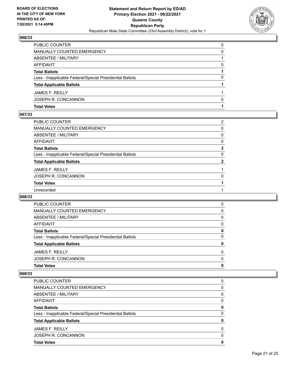

| <b>Total Votes</b>                                       |   |
|----------------------------------------------------------|---|
| JOSEPH R. CONCANNON                                      | 0 |
| <b>JAMES F. REILLY</b>                                   |   |
| <b>Total Applicable Ballots</b>                          |   |
| Less - Inapplicable Federal/Special Presidential Ballots | 0 |
| <b>Total Ballots</b>                                     |   |
| AFFIDAVIT                                                | 0 |
| <b>ABSENTEE / MILITARY</b>                               |   |
| MANUALLY COUNTED EMERGENCY                               | 0 |
| PUBLIC COUNTER                                           | 0 |

## **067/33**

| PUBLIC COUNTER                                           | 2            |
|----------------------------------------------------------|--------------|
| <b>MANUALLY COUNTED EMERGENCY</b>                        | 0            |
| <b>ABSENTEE / MILITARY</b>                               | $\Omega$     |
| AFFIDAVIT                                                | $\Omega$     |
| <b>Total Ballots</b>                                     | $\mathbf{2}$ |
| Less - Inapplicable Federal/Special Presidential Ballots | 0            |
| <b>Total Applicable Ballots</b>                          | 2            |
| JAMES F. REILLY                                          |              |
| JOSEPH R. CONCANNON                                      | 0            |
| <b>Total Votes</b>                                       |              |
| Unrecorded                                               |              |
|                                                          |              |

## **068/33**

| PUBLIC COUNTER                                           | 0        |
|----------------------------------------------------------|----------|
| MANUALLY COUNTED EMERGENCY                               | 0        |
| ABSENTEE / MILITARY                                      | $\Omega$ |
| AFFIDAVIT                                                | $\Omega$ |
| <b>Total Ballots</b>                                     | 0        |
| Less - Inapplicable Federal/Special Presidential Ballots | 0        |
| <b>Total Applicable Ballots</b>                          | 0        |
| <b>JAMES F. REILLY</b>                                   | $\Omega$ |
| JOSEPH R. CONCANNON                                      | $\Omega$ |
| <b>Total Votes</b>                                       | 0        |

| <b>Total Votes</b>                                       | 0        |
|----------------------------------------------------------|----------|
| JOSEPH R. CONCANNON                                      | 0        |
| <b>JAMES F. REILLY</b>                                   | $\Omega$ |
| <b>Total Applicable Ballots</b>                          | 0        |
| Less - Inapplicable Federal/Special Presidential Ballots | 0        |
| <b>Total Ballots</b>                                     | 0        |
| AFFIDAVIT                                                | 0        |
| ABSENTEE / MILITARY                                      | 0        |
| <b>MANUALLY COUNTED EMERGENCY</b>                        | 0        |
| PUBLIC COUNTER                                           | 0        |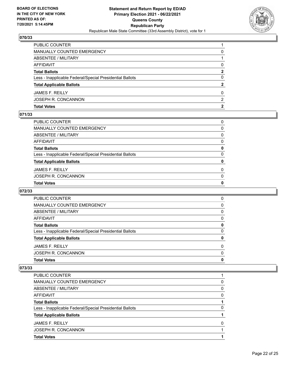

| PUBLIC COUNTER                                           |   |
|----------------------------------------------------------|---|
| MANUALLY COUNTED EMERGENCY                               | 0 |
| <b>ABSENTEE / MILITARY</b>                               |   |
| AFFIDAVIT                                                | 0 |
| <b>Total Ballots</b>                                     | 2 |
| Less - Inapplicable Federal/Special Presidential Ballots | 0 |
| <b>Total Applicable Ballots</b>                          | 2 |
| <b>JAMES F. REILLY</b>                                   | 0 |
| JOSEPH R. CONCANNON                                      | 2 |
| <b>Total Votes</b>                                       | 2 |

## **071/33**

| PUBLIC COUNTER                                           | $\Omega$     |
|----------------------------------------------------------|--------------|
| MANUALLY COUNTED EMERGENCY                               | 0            |
| ABSENTEE / MILITARY                                      | $\mathbf{0}$ |
| AFFIDAVIT                                                | $\Omega$     |
| <b>Total Ballots</b>                                     | 0            |
| Less - Inapplicable Federal/Special Presidential Ballots | $\Omega$     |
| <b>Total Applicable Ballots</b>                          | 0            |
| JAMES F. REILLY                                          | $\Omega$     |
| JOSEPH R. CONCANNON                                      | $\Omega$     |
| <b>Total Votes</b>                                       | 0            |
|                                                          |              |

## **072/33**

| <b>Total Votes</b>                                       | 0        |
|----------------------------------------------------------|----------|
| JOSEPH R. CONCANNON                                      | $\Omega$ |
| <b>JAMES F. REILLY</b>                                   | $\Omega$ |
| <b>Total Applicable Ballots</b>                          | 0        |
| Less - Inapplicable Federal/Special Presidential Ballots | 0        |
| <b>Total Ballots</b>                                     | 0        |
| AFFIDAVIT                                                | 0        |
| ABSENTEE / MILITARY                                      | 0        |
| <b>MANUALLY COUNTED EMERGENCY</b>                        | 0        |
| <b>PUBLIC COUNTER</b>                                    | 0        |

| PUBLIC COUNTER                                           |   |
|----------------------------------------------------------|---|
| MANUALLY COUNTED EMERGENCY                               | 0 |
| ABSENTEE / MILITARY                                      | 0 |
| AFFIDAVIT                                                | 0 |
| <b>Total Ballots</b>                                     |   |
| Less - Inapplicable Federal/Special Presidential Ballots | 0 |
| <b>Total Applicable Ballots</b>                          |   |
| <b>JAMES F. REILLY</b>                                   | 0 |
| JOSEPH R. CONCANNON                                      |   |
| <b>Total Votes</b>                                       |   |
|                                                          |   |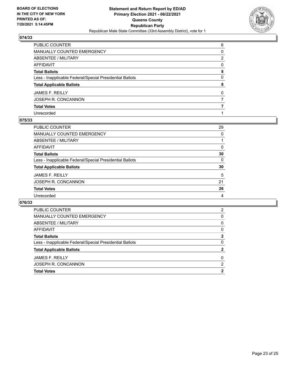

| PUBLIC COUNTER                                           | 6            |
|----------------------------------------------------------|--------------|
| MANUALLY COUNTED EMERGENCY                               | 0            |
| <b>ABSENTEE / MILITARY</b>                               | 2            |
| AFFIDAVIT                                                | $\Omega$     |
| Total Ballots                                            | 8            |
| Less - Inapplicable Federal/Special Presidential Ballots | $\mathbf{0}$ |
| <b>Total Applicable Ballots</b>                          | 8            |
| JAMES F. REILLY                                          | $\Omega$     |
| JOSEPH R. CONCANNON                                      | 7            |
| <b>Total Votes</b>                                       |              |
| Unrecorded                                               |              |

#### **075/33**

| 29             |
|----------------|
| 0              |
|                |
| $\Omega$       |
| 30             |
| $\Omega$       |
| 30             |
| 5              |
| 21             |
| 26             |
| $\overline{4}$ |
|                |

| <b>PUBLIC COUNTER</b>                                    | 2            |
|----------------------------------------------------------|--------------|
| MANUALLY COUNTED EMERGENCY                               | 0            |
| ABSENTEE / MILITARY                                      | 0            |
| AFFIDAVIT                                                | 0            |
| <b>Total Ballots</b>                                     | $\mathbf{2}$ |
| Less - Inapplicable Federal/Special Presidential Ballots | 0            |
| <b>Total Applicable Ballots</b>                          | 2            |
| JAMES F. REILLY                                          | 0            |
| JOSEPH R. CONCANNON                                      | 2            |
| <b>Total Votes</b>                                       | 2            |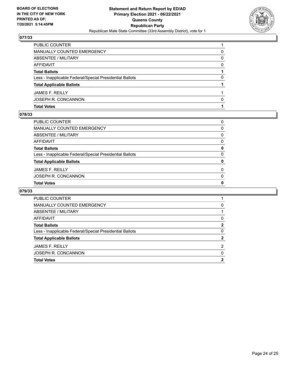

| <b>PUBLIC COUNTER</b>                                    |              |
|----------------------------------------------------------|--------------|
| <b>MANUALLY COUNTED EMERGENCY</b>                        | 0            |
| ABSENTEE / MILITARY                                      | 0            |
| AFFIDAVIT                                                | 0            |
| <b>Total Ballots</b>                                     |              |
| Less - Inapplicable Federal/Special Presidential Ballots | 0            |
| <b>Total Applicable Ballots</b>                          |              |
| <b>JAMES F. REILLY</b>                                   |              |
| JOSEPH R. CONCANNON                                      | <sup>0</sup> |
| <b>Total Votes</b>                                       |              |

#### **078/33**

| PUBLIC COUNTER                                           | 0            |
|----------------------------------------------------------|--------------|
| MANUALLY COUNTED EMERGENCY                               | 0            |
| ABSENTEE / MILITARY                                      | $\Omega$     |
| AFFIDAVIT                                                | $\Omega$     |
| Total Ballots                                            | 0            |
| Less - Inapplicable Federal/Special Presidential Ballots | $\Omega$     |
| <b>Total Applicable Ballots</b>                          | 0            |
| JAMES F. REILLY                                          | $\Omega$     |
| JOSEPH R. CONCANNON                                      | $\Omega$     |
| <b>Total Votes</b>                                       | $\mathbf{0}$ |

| 0 |
|---|
|   |
| 0 |
| 2 |
| 0 |
|   |
| 2 |
| 0 |
| 2 |
|   |